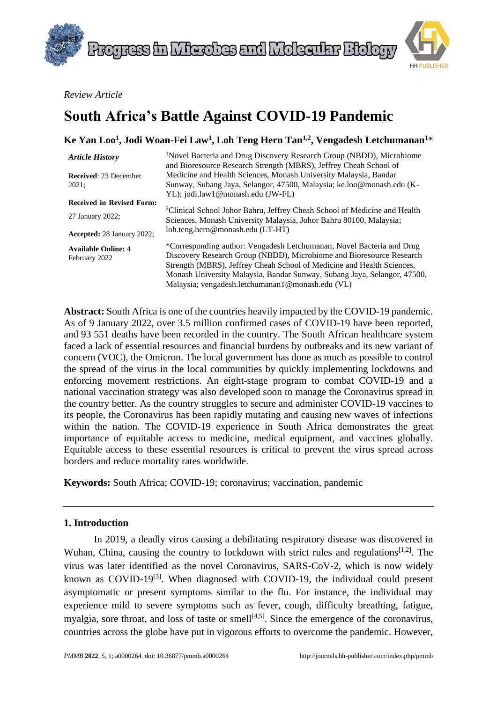



*Review Article*

# **South Africa's Battle Against COVID-19 Pandemic**

| Ke Yan Loo <sup>1</sup> , Jodi Woan-Fei Law <sup>1</sup> , Loh Teng Hern Tan <sup>1,2</sup> , Vengadesh Letchumanan <sup>1*</sup> |                                                                                                                                                                                                                         |
|-----------------------------------------------------------------------------------------------------------------------------------|-------------------------------------------------------------------------------------------------------------------------------------------------------------------------------------------------------------------------|
| <b>Article History</b>                                                                                                            | <sup>1</sup> Novel Bacteria and Drug Discovery Research Group (NBDD), Microbiome<br>and Bioresource Research Strength (MBRS), Jeffrey Cheah School of                                                                   |
| <b>Received: 23 December</b>                                                                                                      | Medicine and Health Sciences, Monash University Malaysia, Bandar                                                                                                                                                        |
| 2021;                                                                                                                             | Sunway, Subang Jaya, Selangor, 47500, Malaysia; ke.loo@monash.edu (K-                                                                                                                                                   |
|                                                                                                                                   | YL); jodi.law1@monash.edu (JW-FL)                                                                                                                                                                                       |
| <b>Received in Revised Form:</b>                                                                                                  |                                                                                                                                                                                                                         |
| 27 January 2022;                                                                                                                  | <sup>2</sup> Clinical School Johor Bahru, Jeffrey Cheah School of Medicine and Health<br>Sciences, Monash University Malaysia, Johor Bahru 80100, Malaysia;                                                             |
| <b>Accepted: 28 January 2022:</b>                                                                                                 | loh.teng.hern@monash.edu (LT-HT)                                                                                                                                                                                        |
| <b>Available Online: 4</b><br>February 2022                                                                                       | *Corresponding author: Vengadesh Letchumanan, Novel Bacteria and Drug<br>Discovery Research Group (NBDD), Microbiome and Bioresource Research<br>Strength (MBRS), Jeffrey Cheah School of Medicine and Health Sciences, |
|                                                                                                                                   | Monash University Malaysia, Bandar Sunway, Subang Jaya, Selangor, 47500,                                                                                                                                                |
|                                                                                                                                   | Malaysia; vengadesh.letchumanan1@monash.edu (VL)                                                                                                                                                                        |

**Abstract:** South Africa is one of the countries heavily impacted by the COVID-19 pandemic. As of 9 January 2022, over 3.5 million confirmed cases of COVID-19 have been reported, and 93 551 deaths have been recorded in the country. The South African healthcare system faced a lack of essential resources and financial burdens by outbreaks and its new variant of concern (VOC), the Omicron. The local government has done as much as possible to control the spread of the virus in the local communities by quickly implementing lockdowns and enforcing movement restrictions. An eight-stage program to combat COVID-19 and a national vaccination strategy was also developed soon to manage the Coronavirus spread in the country better. As the country struggles to secure and administer COVID-19 vaccines to its people, the Coronavirus has been rapidly mutating and causing new waves of infections within the nation. The COVID-19 experience in South Africa demonstrates the great importance of equitable access to medicine, medical equipment, and vaccines globally. Equitable access to these essential resources is critical to prevent the virus spread across borders and reduce mortality rates worldwide.

**Keywords:** South Africa; COVID-19; coronavirus; vaccination, pandemic

## **1. Introduction**

In 2019, a deadly virus causing a debilitating respiratory disease was discovered in Wuhan, China, causing the country to lockdown with strict rules and regulations  $[1,2]$ . The virus was later identified as the novel Coronavirus, SARS-CoV-2, which is now widely known as COVID-19<sup>[3]</sup>. When diagnosed with COVID-19, the individual could present asymptomatic or present symptoms similar to the flu. For instance, the individual may experience mild to severe symptoms such as fever, cough, difficulty breathing, fatigue, myalgia, sore throat, and loss of taste or smell<sup>[4,5]</sup>. Since the emergence of the coronavirus, countries across the globe have put in vigorous efforts to overcome the pandemic. However,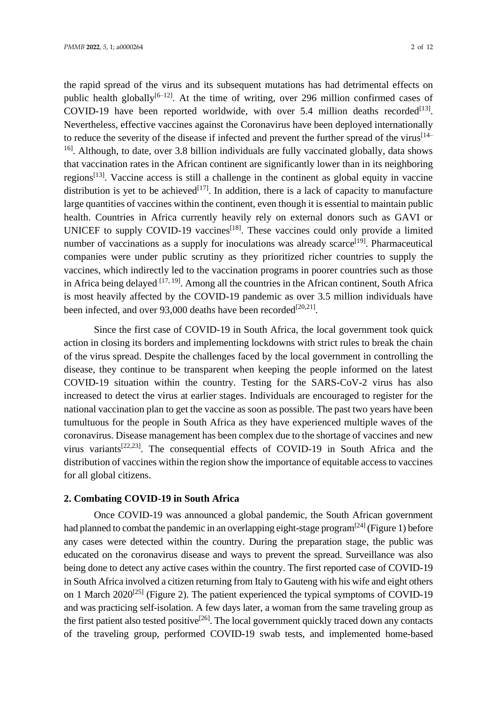the rapid spread of the virus and its subsequent mutations has had detrimental effects on public health globally<sup>[6-12]</sup>. At the time of writing, over 296 million confirmed cases of COVID-19 have been reported worldwide, with over 5.4 million deaths recorded<sup>[13]</sup>. Nevertheless, effective vaccines against the Coronavirus have been deployed internationally to reduce the severity of the disease if infected and prevent the further spread of the virus<sup>[14–</sup> <sup>16]</sup>. Although, to date, over 3.8 billion individuals are fully vaccinated globally, data shows that vaccination rates in the African continent are significantly lower than in its neighboring regions<sup>[13]</sup>. Vaccine access is still a challenge in the continent as global equity in vaccine distribution is yet to be achieved<sup>[17]</sup>. In addition, there is a lack of capacity to manufacture large quantities of vaccines within the continent, even though it is essential to maintain public health. Countries in Africa currently heavily rely on external donors such as GAVI or UNICEF to supply COVID-19 vaccines<sup>[18]</sup>. These vaccines could only provide a limited number of vaccinations as a supply for inoculations was already scarce<sup>[19]</sup>. Pharmaceutical companies were under public scrutiny as they prioritized richer countries to supply the vaccines, which indirectly led to the vaccination programs in poorer countries such as those in Africa being delayed [17, 19]. Among all the countries in the African continent, South Africa is most heavily affected by the COVID-19 pandemic as over 3.5 million individuals have been infected, and over 93,000 deaths have been recorded<sup>[20,21]</sup>.

Since the first case of COVID-19 in South Africa, the local government took quick action in closing its borders and implementing lockdowns with strict rules to break the chain of the virus spread. Despite the challenges faced by the local government in controlling the disease, they continue to be transparent when keeping the people informed on the latest COVID-19 situation within the country. Testing for the SARS-CoV-2 virus has also increased to detect the virus at earlier stages. Individuals are encouraged to register for the national vaccination plan to get the vaccine as soon as possible. The past two years have been tumultuous for the people in South Africa as they have experienced multiple waves of the coronavirus. Disease management has been complex due to the shortage of vaccines and new virus variants<sup>[22,23]</sup>. The consequential effects of COVID-19 in South Africa and the distribution of vaccines within the region show the importance of equitable access to vaccines for all global citizens.

#### **2. Combating COVID-19 in South Africa**

Once COVID-19 was announced a global pandemic, the South African government had planned to combat the pandemic in an overlapping eight-stage program<sup>[24]</sup> (Figure 1) before any cases were detected within the country. During the preparation stage, the public was educated on the coronavirus disease and ways to prevent the spread. Surveillance was also being done to detect any active cases within the country. The first reported case of COVID-19 in South Africa involved a citizen returning from Italy to Gauteng with his wife and eight others on 1 March  $2020^{[25]}$  (Figure 2). The patient experienced the typical symptoms of COVID-19 and was practicing self-isolation. A few days later, a woman from the same traveling group as the first patient also tested positive<sup>[26]</sup>. The local government quickly traced down any contacts of the traveling group, performed COVID-19 swab tests, and implemented home-based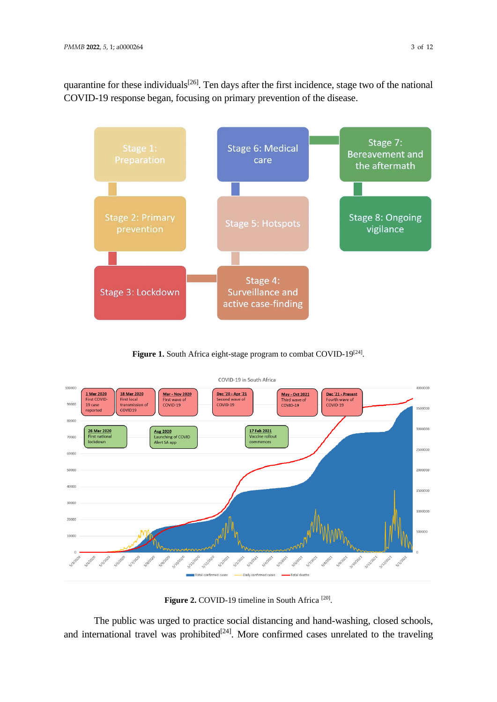quarantine for these individuals<sup>[26]</sup>. Ten days after the first incidence, stage two of the national COVID-19 response began, focusing on primary prevention of the disease.



Figure 1. South Africa eight-stage program to combat COVID-19<sup>[24]</sup>.



Figure 2. COVID-19 timeline in South Africa<sup>[20]</sup>.

The public was urged to practice social distancing and hand-washing, closed schools, and international travel was prohibited<sup>[24]</sup>. More confirmed cases unrelated to the traveling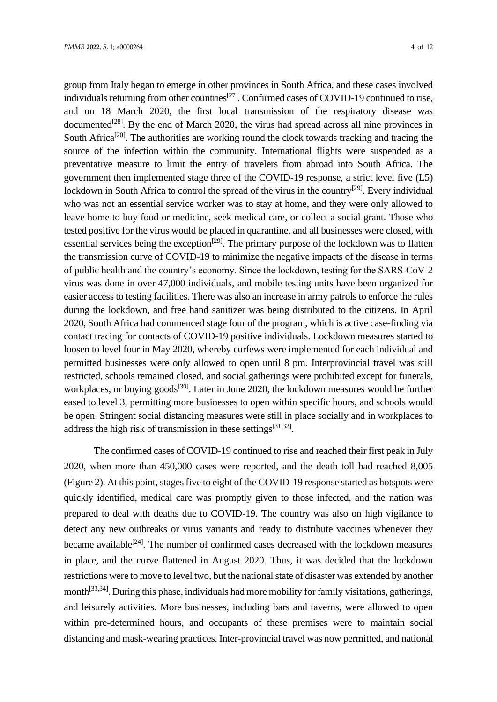group from Italy began to emerge in other provinces in South Africa, and these cases involved individuals returning from other countries<sup>[27]</sup>. Confirmed cases of COVID-19 continued to rise, and on 18 March 2020, the first local transmission of the respiratory disease was documented<sup>[28]</sup>. By the end of March 2020, the virus had spread across all nine provinces in South Africa<sup>[20]</sup>. The authorities are working round the clock towards tracking and tracing the source of the infection within the community. International flights were suspended as a preventative measure to limit the entry of travelers from abroad into South Africa. The government then implemented stage three of the COVID-19 response, a strict level five (L5) lockdown in South Africa to control the spread of the virus in the country<sup>[29]</sup>. Every individual who was not an essential service worker was to stay at home, and they were only allowed to leave home to buy food or medicine, seek medical care, or collect a social grant. Those who tested positive for the virus would be placed in quarantine, and all businesses were closed, with essential services being the exception<sup>[29]</sup>. The primary purpose of the lockdown was to flatten the transmission curve of COVID-19 to minimize the negative impacts of the disease in terms of public health and the country's economy. Since the lockdown, testing for the SARS-CoV-2 virus was done in over 47,000 individuals, and mobile testing units have been organized for easier access to testing facilities. There was also an increase in army patrols to enforce the rules during the lockdown, and free hand sanitizer was being distributed to the citizens. In April 2020, South Africa had commenced stage four of the program, which is active case-finding via contact tracing for contacts of COVID-19 positive individuals. Lockdown measures started to loosen to level four in May 2020, whereby curfews were implemented for each individual and permitted businesses were only allowed to open until 8 pm. Interprovincial travel was still restricted, schools remained closed, and social gatherings were prohibited except for funerals, workplaces, or buying goods<sup>[30]</sup>. Later in June 2020, the lockdown measures would be further eased to level 3, permitting more businesses to open within specific hours, and schools would be open. Stringent social distancing measures were still in place socially and in workplaces to address the high risk of transmission in these settings $[31,32]$ .

The confirmed cases of COVID-19 continued to rise and reached their first peak in July 2020, when more than 450,000 cases were reported, and the death toll had reached 8,005 (Figure 2). At this point, stages five to eight of the COVID-19 response started as hotspots were quickly identified, medical care was promptly given to those infected, and the nation was prepared to deal with deaths due to COVID-19. The country was also on high vigilance to detect any new outbreaks or virus variants and ready to distribute vaccines whenever they became available<sup>[24]</sup>. The number of confirmed cases decreased with the lockdown measures in place, and the curve flattened in August 2020. Thus, it was decided that the lockdown restrictions were to move to level two, but the national state of disaster was extended by another month<sup>[33,34]</sup>. During this phase, individuals had more mobility for family visitations, gatherings, and leisurely activities. More businesses, including bars and taverns, were allowed to open within pre-determined hours, and occupants of these premises were to maintain social distancing and mask-wearing practices. Inter-provincial travel was now permitted, and national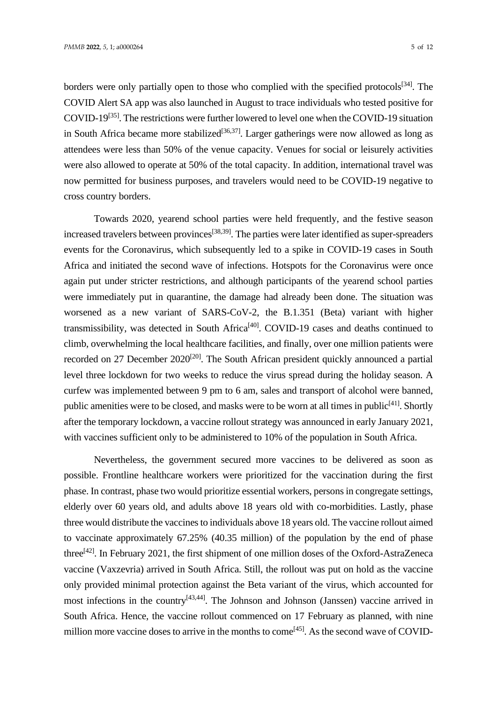borders were only partially open to those who complied with the specified protocols<sup>[34]</sup>. The COVID Alert SA app was also launched in August to trace individuals who tested positive for COVID-19<sup>[35]</sup>. The restrictions were further lowered to level one when the COVID-19 situation in South Africa became more stabilized<sup>[36,37]</sup>. Larger gatherings were now allowed as long as attendees were less than 50% of the venue capacity. Venues for social or leisurely activities were also allowed to operate at 50% of the total capacity. In addition, international travel was now permitted for business purposes, and travelers would need to be COVID-19 negative to cross country borders.

Towards 2020, yearend school parties were held frequently, and the festive season increased travelers between provinces<sup>[38,39]</sup>. The parties were later identified as super-spreaders events for the Coronavirus, which subsequently led to a spike in COVID-19 cases in South Africa and initiated the second wave of infections. Hotspots for the Coronavirus were once again put under stricter restrictions, and although participants of the yearend school parties were immediately put in quarantine, the damage had already been done. The situation was worsened as a new variant of SARS-CoV-2, the B.1.351 (Beta) variant with higher transmissibility, was detected in South Africa<sup>[40]</sup>. COVID-19 cases and deaths continued to climb, overwhelming the local healthcare facilities, and finally, over one million patients were recorded on 27 December 2020<sup>[20]</sup>. The South African president quickly announced a partial level three lockdown for two weeks to reduce the virus spread during the holiday season. A curfew was implemented between 9 pm to 6 am, sales and transport of alcohol were banned, public amenities were to be closed, and masks were to be worn at all times in public<sup>[41]</sup>. Shortly after the temporary lockdown, a vaccine rollout strategy was announced in early January 2021, with vaccines sufficient only to be administered to 10% of the population in South Africa.

Nevertheless, the government secured more vaccines to be delivered as soon as possible. Frontline healthcare workers were prioritized for the vaccination during the first phase. In contrast, phase two would prioritize essential workers, persons in congregate settings, elderly over 60 years old, and adults above 18 years old with co-morbidities. Lastly, phase three would distribute the vaccines to individuals above 18 years old. The vaccine rollout aimed to vaccinate approximately 67.25% (40.35 million) of the population by the end of phase three<sup>[42]</sup>. In February 2021, the first shipment of one million doses of the Oxford-AstraZeneca vaccine (Vaxzevria) arrived in South Africa. Still, the rollout was put on hold as the vaccine only provided minimal protection against the Beta variant of the virus, which accounted for most infections in the country<sup>[43,44]</sup>. The Johnson and Johnson (Janssen) vaccine arrived in South Africa. Hence, the vaccine rollout commenced on 17 February as planned, with nine million more vaccine doses to arrive in the months to come<sup>[45]</sup>. As the second wave of COVID-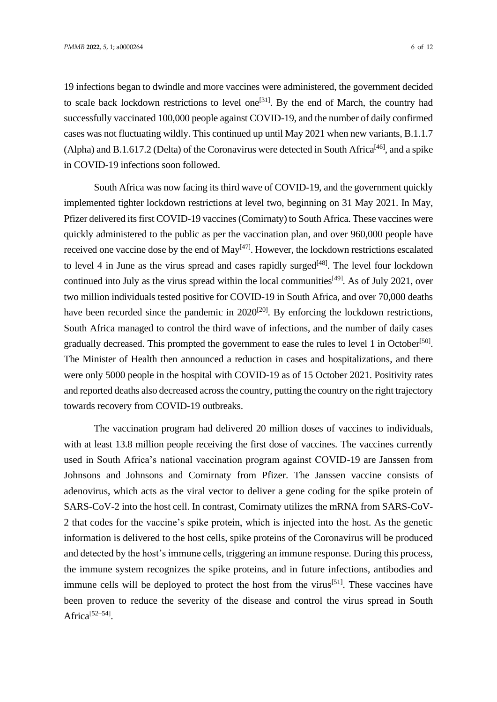19 infections began to dwindle and more vaccines were administered, the government decided to scale back lockdown restrictions to level one<sup>[31]</sup>. By the end of March, the country had successfully vaccinated 100,000 people against COVID-19, and the number of daily confirmed cases was not fluctuating wildly. This continued up until May 2021 when new variants, B.1.1.7 (Alpha) and B.1.617.2 (Delta) of the Coronavirus were detected in South Africa<sup>[46]</sup>, and a spike in COVID-19 infections soon followed.

South Africa was now facing its third wave of COVID-19, and the government quickly implemented tighter lockdown restrictions at level two, beginning on 31 May 2021. In May, Pfizer delivered its first COVID-19 vaccines (Comirnaty) to South Africa. These vaccines were quickly administered to the public as per the vaccination plan, and over 960,000 people have received one vaccine dose by the end of May<sup>[47]</sup>. However, the lockdown restrictions escalated to level 4 in June as the virus spread and cases rapidly surged<sup>[48]</sup>. The level four lockdown continued into July as the virus spread within the local communities<sup>[49]</sup>. As of July 2021, over two million individuals tested positive for COVID-19 in South Africa, and over 70,000 deaths have been recorded since the pandemic in  $2020^{[20]}$ . By enforcing the lockdown restrictions, South Africa managed to control the third wave of infections, and the number of daily cases gradually decreased. This prompted the government to ease the rules to level 1 in October<sup>[50]</sup>. The Minister of Health then announced a reduction in cases and hospitalizations, and there were only 5000 people in the hospital with COVID-19 as of 15 October 2021. Positivity rates and reported deaths also decreased across the country, putting the country on the right trajectory towards recovery from COVID-19 outbreaks.

The vaccination program had delivered 20 million doses of vaccines to individuals, with at least 13.8 million people receiving the first dose of vaccines. The vaccines currently used in South Africa's national vaccination program against COVID-19 are Janssen from Johnsons and Johnsons and Comirnaty from Pfizer. The Janssen vaccine consists of adenovirus, which acts as the viral vector to deliver a gene coding for the spike protein of SARS-CoV-2 into the host cell. In contrast, Comirnaty utilizes the mRNA from SARS-CoV-2 that codes for the vaccine's spike protein, which is injected into the host. As the genetic information is delivered to the host cells, spike proteins of the Coronavirus will be produced and detected by the host's immune cells, triggering an immune response. During this process, the immune system recognizes the spike proteins, and in future infections, antibodies and immune cells will be deployed to protect the host from the virus<sup>[51]</sup>. These vaccines have been proven to reduce the severity of the disease and control the virus spread in South Africa<sup>[52–54]</sup>.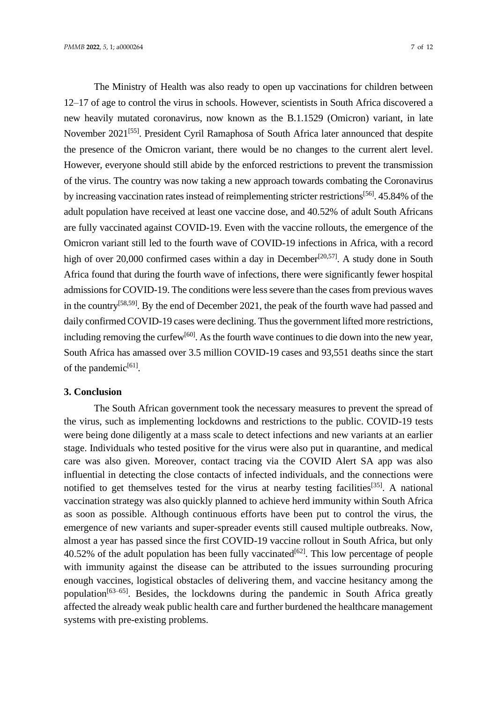The Ministry of Health was also ready to open up vaccinations for children between 12–17 of age to control the virus in schools. However, scientists in South Africa discovered a new heavily mutated coronavirus, now known as the B.1.1529 (Omicron) variant, in late November 2021<sup>[55]</sup>. President Cyril Ramaphosa of South Africa later announced that despite the presence of the Omicron variant, there would be no changes to the current alert level. However, everyone should still abide by the enforced restrictions to prevent the transmission of the virus. The country was now taking a new approach towards combating the Coronavirus by increasing vaccination rates instead of reimplementing stricter restrictions<sup>[56]</sup>. 45.84% of the adult population have received at least one vaccine dose, and 40.52% of adult South Africans are fully vaccinated against COVID-19. Even with the vaccine rollouts, the emergence of the Omicron variant still led to the fourth wave of COVID-19 infections in Africa, with a record high of over 20,000 confirmed cases within a day in December<sup>[20,57]</sup>. A study done in South Africa found that during the fourth wave of infections, there were significantly fewer hospital admissions for COVID-19. The conditions were less severe than the cases from previous waves in the country<sup>[58,59]</sup>. By the end of December 2021, the peak of the fourth wave had passed and daily confirmed COVID-19 cases were declining. Thus the government lifted more restrictions, including removing the curfew<sup>[60]</sup>. As the fourth wave continues to die down into the new year, South Africa has amassed over 3.5 million COVID-19 cases and 93,551 deaths since the start of the pandemic<sup>[61]</sup>.

### **3. Conclusion**

The South African government took the necessary measures to prevent the spread of the virus, such as implementing lockdowns and restrictions to the public. COVID-19 tests were being done diligently at a mass scale to detect infections and new variants at an earlier stage. Individuals who tested positive for the virus were also put in quarantine, and medical care was also given. Moreover, contact tracing via the COVID Alert SA app was also influential in detecting the close contacts of infected individuals, and the connections were notified to get themselves tested for the virus at nearby testing facilities<sup>[35]</sup>. A national vaccination strategy was also quickly planned to achieve herd immunity within South Africa as soon as possible. Although continuous efforts have been put to control the virus, the emergence of new variants and super-spreader events still caused multiple outbreaks. Now, almost a year has passed since the first COVID-19 vaccine rollout in South Africa, but only 40.52% of the adult population has been fully vaccinated  $[62]$ . This low percentage of people with immunity against the disease can be attributed to the issues surrounding procuring enough vaccines, logistical obstacles of delivering them, and vaccine hesitancy among the population<sup>[63–65]</sup>. Besides, the lockdowns during the pandemic in South Africa greatly affected the already weak public health care and further burdened the healthcare management systems with pre-existing problems.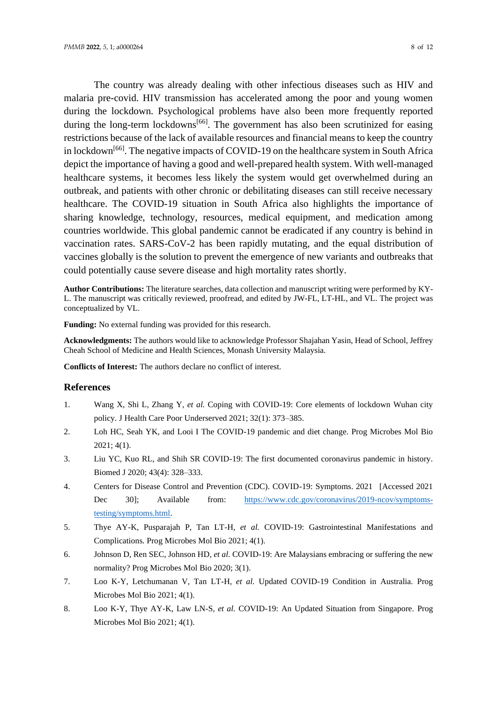The country was already dealing with other infectious diseases such as HIV and malaria pre-covid. HIV transmission has accelerated among the poor and young women during the lockdown. Psychological problems have also been more frequently reported during the long-term lockdowns<sup>[66]</sup>. The government has also been scrutinized for easing restrictions because of the lack of available resources and financial means to keep the country in lockdown<sup>[66]</sup>. The negative impacts of COVID-19 on the healthcare system in South Africa depict the importance of having a good and well-prepared health system. With well-managed healthcare systems, it becomes less likely the system would get overwhelmed during an outbreak, and patients with other chronic or debilitating diseases can still receive necessary healthcare. The COVID-19 situation in South Africa also highlights the importance of sharing knowledge, technology, resources, medical equipment, and medication among countries worldwide. This global pandemic cannot be eradicated if any country is behind in vaccination rates. SARS-CoV-2 has been rapidly mutating, and the equal distribution of vaccines globally is the solution to prevent the emergence of new variants and outbreaks that could potentially cause severe disease and high mortality rates shortly.

**Author Contributions:** The literature searches, data collection and manuscript writing were performed by KY-L. The manuscript was critically reviewed, proofread, and edited by JW-FL, LT-HL, and VL. The project was conceptualized by VL.

**Funding:** No external funding was provided for this research.

**Acknowledgments:** The authors would like to acknowledge Professor Shajahan Yasin, Head of School, Jeffrey Cheah School of Medicine and Health Sciences, Monash University Malaysia.

**Conflicts of Interest:** The authors declare no conflict of interest.

#### **References**

- 1. Wang X, Shi L, Zhang Y*, et al.* Coping with COVID-19: Core elements of lockdown Wuhan city policy*.* J Health Care Poor Underserved 2021; 32(1): 373–385.
- 2. Loh HC, Seah YK, and Looi I The COVID-19 pandemic and diet change*.* Prog Microbes Mol Bio 2021; 4(1).
- 3. Liu YC, Kuo RL, and Shih SR COVID-19: The first documented coronavirus pandemic in history*.* Biomed J 2020; 43(4): 328–333.
- 4. Centers for Disease Control and Prevention (CDC). COVID-19: Symptoms. 2021 [Accessed 2021 Dec 30]; Available from: [https://www.cdc.gov/coronavirus/2019-ncov/symptoms](https://www.cdc.gov/coronavirus/2019-ncov/symptoms-testing/symptoms.html)[testing/symptoms.html.](https://www.cdc.gov/coronavirus/2019-ncov/symptoms-testing/symptoms.html)
- 5. Thye AY-K, Pusparajah P, Tan LT-H*, et al.* COVID-19: Gastrointestinal Manifestations and Complications*.* Prog Microbes Mol Bio 2021; 4(1).
- 6. Johnson D, Ren SEC, Johnson HD*, et al.* COVID-19: Are Malaysians embracing or suffering the new normality? Prog Microbes Mol Bio 2020; 3(1).
- 7. Loo K-Y, Letchumanan V, Tan LT-H*, et al.* Updated COVID-19 Condition in Australia*.* Prog Microbes Mol Bio 2021; 4(1).
- 8. Loo K-Y, Thye AY-K, Law LN-S*, et al.* COVID-19: An Updated Situation from Singapore*.* Prog Microbes Mol Bio 2021; 4(1).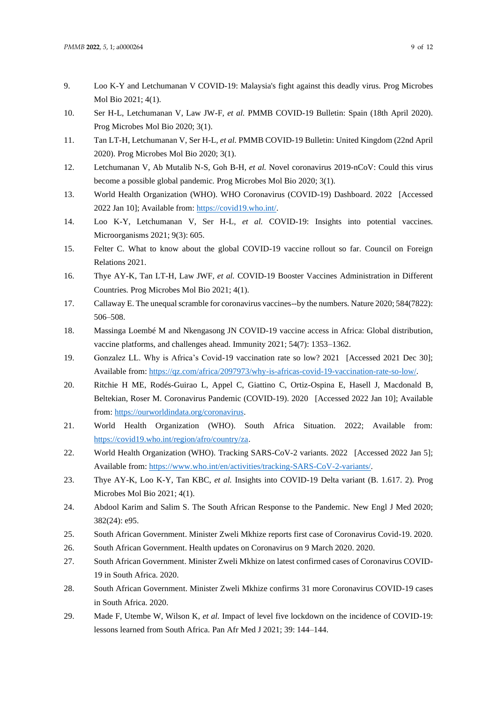- 9. Loo K-Y and Letchumanan V COVID-19: Malaysia's fight against this deadly virus*.* Prog Microbes Mol Bio 2021; 4(1).
- 10. Ser H-L, Letchumanan V, Law JW-F*, et al.* PMMB COVID-19 Bulletin: Spain (18th April 2020)*.* Prog Microbes Mol Bio 2020; 3(1).
- 11. Tan LT-H, Letchumanan V, Ser H-L*, et al.* PMMB COVID-19 Bulletin: United Kingdom (22nd April 2020)*.* Prog Microbes Mol Bio 2020; 3(1).
- 12. Letchumanan V, Ab Mutalib N-S, Goh B-H*, et al.* Novel coronavirus 2019-nCoV: Could this virus become a possible global pandemic*.* Prog Microbes Mol Bio 2020; 3(1).
- 13. World Health Organization (WHO). WHO Coronavirus (COVID-19) Dashboard. 2022 [Accessed 2022 Jan 10]; Available from[: https://covid19.who.int/.](https://covid19.who.int/)
- 14. Loo K-Y, Letchumanan V, Ser H-L*, et al.* COVID-19: Insights into potential vaccines*.* Microorganisms 2021; 9(3): 605.
- 15. Felter C. What to know about the global COVID-19 vaccine rollout so far. Council on Foreign Relations 2021.
- 16. Thye AY-K, Tan LT-H, Law JWF*, et al.* COVID-19 Booster Vaccines Administration in Different Countries*.* Prog Microbes Mol Bio 2021; 4(1).
- 17. Callaway E. The unequal scramble for coronavirus vaccines--by the numbers*.* Nature 2020; 584(7822): 506–508.
- 18. Massinga Loembé M and Nkengasong JN COVID-19 vaccine access in Africa: Global distribution, vaccine platforms, and challenges ahead*.* Immunity 2021; 54(7): 1353–1362.
- 19. Gonzalez LL. Why is Africa's Covid-19 vaccination rate so low? 2021 [Accessed 2021 Dec 30]; Available from[: https://qz.com/africa/2097973/why-is-africas-covid-19-vaccination-rate-so-low/.](https://qz.com/africa/2097973/why-is-africas-covid-19-vaccination-rate-so-low/)
- 20. Ritchie H ME, Rodés-Guirao L, Appel C, Giattino C, Ortiz-Ospina E, Hasell J, Macdonald B, Beltekian, Roser M. Coronavirus Pandemic (COVID-19). 2020 [Accessed 2022 Jan 10]; Available from: [https://ourworldindata.org/coronavirus.](https://ourworldindata.org/coronavirus)
- 21. World Health Organization (WHO). South Africa Situation. 2022; Available from: [https://covid19.who.int/region/afro/country/za.](https://covid19.who.int/region/afro/country/za)
- 22. World Health Organization (WHO). Tracking SARS-CoV-2 variants. 2022 [Accessed 2022 Jan 5]; Available from[: https://www.who.int/en/activities/tracking-SARS-CoV-2-variants/.](https://www.who.int/en/activities/tracking-SARS-CoV-2-variants/)
- 23. Thye AY-K, Loo K-Y, Tan KBC*, et al.* Insights into COVID-19 Delta variant (B. 1.617. 2)*.* Prog Microbes Mol Bio 2021; 4(1).
- 24. Abdool Karim and Salim S. The South African Response to the Pandemic*.* New Engl J Med 2020; 382(24): e95.
- 25. South African Government. Minister Zweli Mkhize reports first case of Coronavirus Covid-19. 2020.
- 26. South African Government. Health updates on Coronavirus on 9 March 2020. 2020.
- 27. South African Government. Minister Zweli Mkhize on latest confirmed cases of Coronavirus COVID-19 in South Africa. 2020.
- 28. South African Government. Minister Zweli Mkhize confirms 31 more Coronavirus COVID-19 cases in South Africa. 2020.
- 29. Made F, Utembe W, Wilson K*, et al.* Impact of level five lockdown on the incidence of COVID-19: lessons learned from South Africa*.* Pan Afr Med J 2021; 39: 144–144.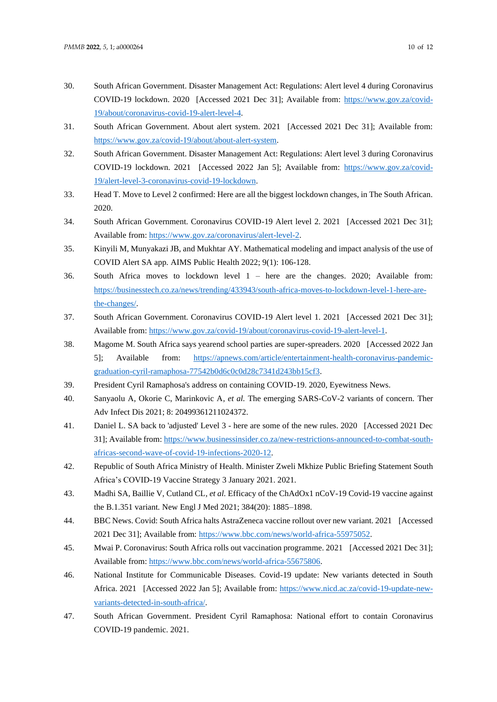- 30. South African Government. Disaster Management Act: Regulations: Alert level 4 during Coronavirus COVID-19 lockdown. 2020 [Accessed 2021 Dec 31]; Available from: [https://www.gov.za/covid-](https://www.gov.za/covid-19/about/coronavirus-covid-19-alert-level-4)[19/about/coronavirus-covid-19-alert-level-4.](https://www.gov.za/covid-19/about/coronavirus-covid-19-alert-level-4)
- 31. South African Government. About alert system. 2021 [Accessed 2021 Dec 31]; Available from: [https://www.gov.za/covid-19/about/about-alert-system.](https://www.gov.za/covid-19/about/about-alert-system)
- 32. South African Government. Disaster Management Act: Regulations: Alert level 3 during Coronavirus COVID-19 lockdown. 2021 [Accessed 2022 Jan 5]; Available from: [https://www.gov.za/covid-](https://www.gov.za/covid-19/alert-level-3-coronavirus-covid-19-lockdown)[19/alert-level-3-coronavirus-covid-19-lockdown.](https://www.gov.za/covid-19/alert-level-3-coronavirus-covid-19-lockdown)
- 33. Head T. Move to Level 2 confirmed: Here are all the biggest lockdown changes, in The South African. 2020.
- 34. South African Government. Coronavirus COVID-19 Alert level 2. 2021 [Accessed 2021 Dec 31]; Available from[: https://www.gov.za/coronavirus/alert-level-2.](https://www.gov.za/coronavirus/alert-level-2)
- 35. Kinyili M, Munyakazi JB, and Mukhtar AY. Mathematical modeling and impact analysis of the use of COVID Alert SA app*.* AIMS Public Health 2022; 9(1): 106-128.
- 36. South Africa moves to lockdown level 1 here are the changes. 2020; Available from: [https://businesstech.co.za/news/trending/433943/south-africa-moves-to-lockdown-level-1-here-are](https://businesstech.co.za/news/trending/433943/south-africa-moves-to-lockdown-level-1-here-are-the-changes/)[the-changes/.](https://businesstech.co.za/news/trending/433943/south-africa-moves-to-lockdown-level-1-here-are-the-changes/)
- 37. South African Government. Coronavirus COVID-19 Alert level 1. 2021 [Accessed 2021 Dec 31]; Available from[: https://www.gov.za/covid-19/about/coronavirus-covid-19-alert-level-1.](https://www.gov.za/covid-19/about/coronavirus-covid-19-alert-level-1)
- 38. Magome M. South Africa says yearend school parties are super-spreaders. 2020 [Accessed 2022 Jan 5]; Available from: [https://apnews.com/article/entertainment-health-coronavirus-pandemic](https://apnews.com/article/entertainment-health-coronavirus-pandemic-graduation-cyril-ramaphosa-77542b0d6c0c0d28c7341d243bb15cf3)[graduation-cyril-ramaphosa-77542b0d6c0c0d28c7341d243bb15cf3.](https://apnews.com/article/entertainment-health-coronavirus-pandemic-graduation-cyril-ramaphosa-77542b0d6c0c0d28c7341d243bb15cf3)
- 39. President Cyril Ramaphosa's address on containing COVID-19. 2020, Eyewitness News.
- 40. Sanyaolu A, Okorie C, Marinkovic A*, et al.* The emerging SARS-CoV-2 variants of concern*.* Ther Adv Infect Dis 2021; 8: 20499361211024372.
- 41. Daniel L. SA back to 'adjusted' Level 3 here are some of the new rules. 2020 [Accessed 2021 Dec 31]; Available from[: https://www.businessinsider.co.za/new-restrictions-announced-to-combat-south](https://www.businessinsider.co.za/new-restrictions-announced-to-combat-south-africas-second-wave-of-covid-19-infections-2020-12)[africas-second-wave-of-covid-19-infections-2020-12.](https://www.businessinsider.co.za/new-restrictions-announced-to-combat-south-africas-second-wave-of-covid-19-infections-2020-12)
- 42. Republic of South Africa Ministry of Health. Minister Zweli Mkhize Public Briefing Statement South Africa's COVID-19 Vaccine Strategy 3 January 2021. 2021.
- 43. Madhi SA, Baillie V, Cutland CL*, et al.* Efficacy of the ChAdOx1 nCoV-19 Covid-19 vaccine against the B.1.351 variant*.* New Engl J Med 2021; 384(20): 1885–1898.
- 44. BBC News. Covid: South Africa halts AstraZeneca vaccine rollout over new variant. 2021 [Accessed 2021 Dec 31]; Available from: [https://www.bbc.com/news/world-africa-55975052.](https://www.bbc.com/news/world-africa-55975052)
- 45. Mwai P. Coronavirus: South Africa rolls out vaccination programme. 2021 [Accessed 2021 Dec 31]; Available from[: https://www.bbc.com/news/world-africa-55675806.](https://www.bbc.com/news/world-africa-55675806)
- 46. National Institute for Communicable Diseases. Covid-19 update: New variants detected in South Africa. 2021 [Accessed 2022 Jan 5]; Available from: [https://www.nicd.ac.za/covid-19-update-new](https://www.nicd.ac.za/covid-19-update-new-variants-detected-in-south-africa/)[variants-detected-in-south-africa/.](https://www.nicd.ac.za/covid-19-update-new-variants-detected-in-south-africa/)
- 47. South African Government. President Cyril Ramaphosa: National effort to contain Coronavirus COVID-19 pandemic. 2021.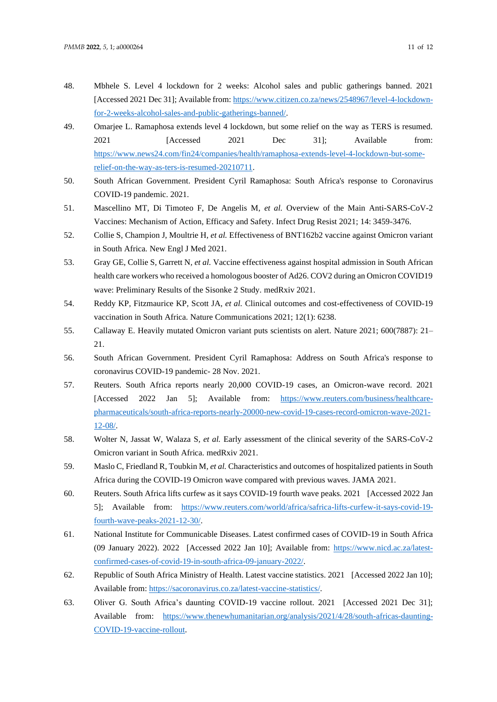- 48. Mbhele S. Level 4 lockdown for 2 weeks: Alcohol sales and public gatherings banned. 2021 [Accessed 2021 Dec 31]; Available from[: https://www.citizen.co.za/news/2548967/level-4-lockdown](https://www.citizen.co.za/news/2548967/level-4-lockdown-for-2-weeks-alcohol-sales-and-public-gatherings-banned/)[for-2-weeks-alcohol-sales-and-public-gatherings-banned/.](https://www.citizen.co.za/news/2548967/level-4-lockdown-for-2-weeks-alcohol-sales-and-public-gatherings-banned/)
- 49. Omarjee L. Ramaphosa extends level 4 lockdown, but some relief on the way as TERS is resumed. 2021 [Accessed 2021 Dec 31]; Available from: [https://www.news24.com/fin24/companies/health/ramaphosa-extends-level-4-lockdown-but-some](https://www.news24.com/fin24/companies/health/ramaphosa-extends-level-4-lockdown-but-some-relief-on-the-way-as-ters-is-resumed-20210711)[relief-on-the-way-as-ters-is-resumed-20210711.](https://www.news24.com/fin24/companies/health/ramaphosa-extends-level-4-lockdown-but-some-relief-on-the-way-as-ters-is-resumed-20210711)
- 50. South African Government. President Cyril Ramaphosa: South Africa's response to Coronavirus COVID-19 pandemic. 2021.
- 51. Mascellino MT, Di Timoteo F, De Angelis M*, et al.* Overview of the Main Anti-SARS-CoV-2 Vaccines: Mechanism of Action, Efficacy and Safety*.* Infect Drug Resist 2021; 14: 3459-3476.
- 52. Collie S, Champion J, Moultrie H*, et al.* Effectiveness of BNT162b2 vaccine against Omicron variant in South Africa*.* New Engl J Med 2021.
- 53. Gray GE, Collie S, Garrett N*, et al.* Vaccine effectiveness against hospital admission in South African health care workers who received a homologous booster of Ad26. COV2 during an Omicron COVID19 wave: Preliminary Results of the Sisonke 2 Study*.* medRxiv 2021.
- 54. Reddy KP, Fitzmaurice KP, Scott JA*, et al.* Clinical outcomes and cost-effectiveness of COVID-19 vaccination in South Africa*.* Nature Communications 2021; 12(1): 6238.
- 55. Callaway E. Heavily mutated Omicron variant puts scientists on alert*.* Nature 2021; 600(7887): 21– 21.
- 56. South African Government. President Cyril Ramaphosa: Address on South Africa's response to coronavirus COVID-19 pandemic- 28 Nov. 2021.
- 57. Reuters. South Africa reports nearly 20,000 COVID-19 cases, an Omicron-wave record. 2021 [Accessed 2022 Jan 5]; Available from: [https://www.reuters.com/business/healthcare](https://www.reuters.com/business/healthcare-pharmaceuticals/south-africa-reports-nearly-20000-new-covid-19-cases-record-omicron-wave-2021-12-08/)[pharmaceuticals/south-africa-reports-nearly-20000-new-covid-19-cases-record-omicron-wave-2021-](https://www.reuters.com/business/healthcare-pharmaceuticals/south-africa-reports-nearly-20000-new-covid-19-cases-record-omicron-wave-2021-12-08/) [12-08/.](https://www.reuters.com/business/healthcare-pharmaceuticals/south-africa-reports-nearly-20000-new-covid-19-cases-record-omicron-wave-2021-12-08/)
- 58. Wolter N, Jassat W, Walaza S*, et al.* Early assessment of the clinical severity of the SARS-CoV-2 Omicron variant in South Africa*.* medRxiv 2021.
- 59. Maslo C, Friedland R, Toubkin M*, et al.* Characteristics and outcomes of hospitalized patients in South Africa during the COVID-19 Omicron wave compared with previous waves*.* JAMA 2021.
- 60. Reuters. South Africa lifts curfew as it says COVID-19 fourth wave peaks. 2021 [Accessed 2022 Jan 5]; Available from: [https://www.reuters.com/world/africa/safrica-lifts-curfew-it-says-covid-19](https://www.reuters.com/world/africa/safrica-lifts-curfew-it-says-covid-19-fourth-wave-peaks-2021-12-30/) [fourth-wave-peaks-2021-12-30/.](https://www.reuters.com/world/africa/safrica-lifts-curfew-it-says-covid-19-fourth-wave-peaks-2021-12-30/)
- 61. National Institute for Communicable Diseases. Latest confirmed cases of COVID-19 in South Africa (09 January 2022). 2022 [Accessed 2022 Jan 10]; Available from: [https://www.nicd.ac.za/latest](https://www.nicd.ac.za/latest-confirmed-cases-of-covid-19-in-south-africa-09-january-2022/)[confirmed-cases-of-covid-19-in-south-africa-09-january-2022/.](https://www.nicd.ac.za/latest-confirmed-cases-of-covid-19-in-south-africa-09-january-2022/)
- 62. Republic of South Africa Ministry of Health. Latest vaccine statistics. 2021 [Accessed 2022 Jan 10]; Available from[: https://sacoronavirus.co.za/latest-vaccine-statistics/.](https://sacoronavirus.co.za/latest-vaccine-statistics/)
- 63. Oliver G. South Africa's daunting COVID-19 vaccine rollout. 2021 [Accessed 2021 Dec 31]; Available from: [https://www.thenewhumanitarian.org/analysis/2021/4/28/south-africas-daunting-](https://www.thenewhumanitarian.org/analysis/2021/4/28/south-africas-daunting-COVID-19-vaccine-rollout)[COVID-19-vaccine-rollout.](https://www.thenewhumanitarian.org/analysis/2021/4/28/south-africas-daunting-COVID-19-vaccine-rollout)